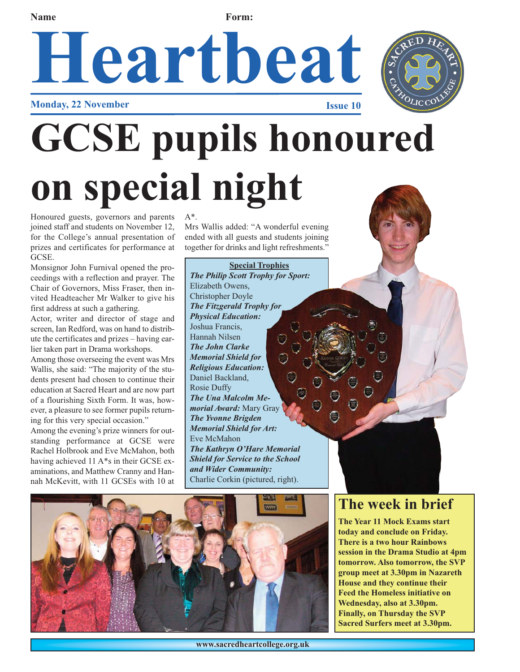#### **Name Form:**

## Heartbeat **Monday, 22 November**



# **GCSE pupils honoured on special night**

Honoured guests, governors and parents joined staff and students on November 12, for the College's annual presentation of prizes and certificates for performance at GCSE.

Monsignor John Furnival opened the proceedings with a reflection and prayer. The Chair of Governors, Miss Fraser, then invited Headteacher Mr Walker to give his first address at such a gathering.

Actor, writer and director of stage and screen, Ian Redford, was on hand to distribute the certificates and prizes – having earlier taken part in Drama workshops.

Among those overseeing the event was Mrs Wallis, she said: "The majority of the students present had chosen to continue their education at Sacred Heart and are now part of a flourishing Sixth Form. It was, however, a pleasure to see former pupils returning for this very special occasion."

Among the evening's prize winners for outstanding performance at GCSE were Rachel Holbrook and Eve McMahon, both having achieved 11 A\*s in their GCSE examinations, and Matthew Cranny and Hannah McKevitt, with 11 GCSEs with 10 at  $A^*$ .

Mrs Wallis added: "A wonderful evening ended with all guests and students joining together for drinks and light refreshments."

**Special Trophies** *The Philip Scott Trophy for Sport:* 

Elizabeth Owens, Christopher Doyle *The Fitzgerald Trophy for Physical Education:* Joshua Francis, Hannah Nilsen *The John Clarke Memorial Shield for Religious Education:*  Daniel Backland, Rosie Duffy *The Una Malcolm Memorial Award:* Mary Gray *The Yvonne Brigden Memorial Shield for Art:*  Eve McMahon *The Kathryn O'Hare Memorial Shield for Service to the School and Wider Community:*  Charlie Corkin (pictured, right).



### **The week in brief**

**The Year 11 Mock Exams start today and conclude on Friday. There is a two hour Rainbows session in the Drama Studio at 4pm tomorrow. Also tomorrow, the SVP group meet at 3.30pm in Nazareth House and they continue their Feed the Homeless initiative on Wednesday, also at 3.30pm. Finally, on Thursday the SVP Sacred Surfers meet at 3.30pm.**